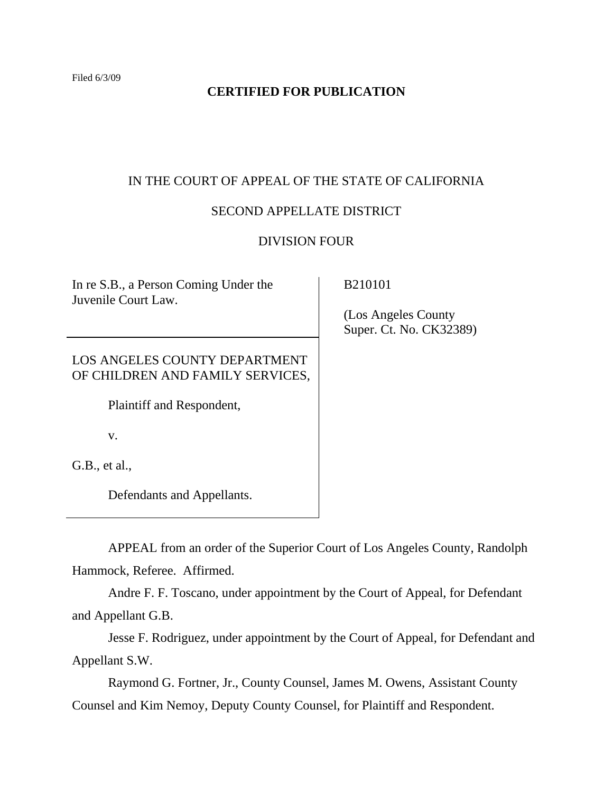# **CERTIFIED FOR PUBLICATION**

# IN THE COURT OF APPEAL OF THE STATE OF CALIFORNIA

# SECOND APPELLATE DISTRICT

## DIVISION FOUR

In re S.B., a Person Coming Under the Juvenile Court Law.

LOS ANGELES COUNTY DEPARTMENT OF CHILDREN AND FAMILY SERVICES,

Plaintiff and Respondent,

v.

G.B., et al.,

Defendants and Appellants.

APPEAL from an order of the Superior Court of Los Angeles County, Randolph Hammock, Referee. Affirmed.

Andre F. F. Toscano, under appointment by the Court of Appeal, for Defendant and Appellant G.B.

Jesse F. Rodriguez, under appointment by the Court of Appeal, for Defendant and Appellant S.W.

Raymond G. Fortner, Jr., County Counsel, James M. Owens, Assistant County Counsel and Kim Nemoy, Deputy County Counsel, for Plaintiff and Respondent.

B210101

 (Los Angeles County Super. Ct. No. CK32389)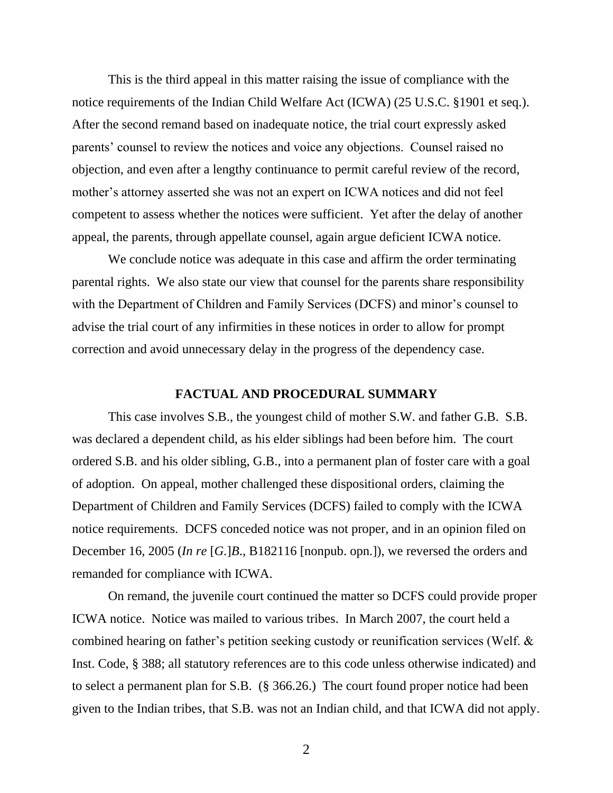This is the third appeal in this matter raising the issue of compliance with the notice requirements of the Indian Child Welfare Act (ICWA) (25 U.S.C. §1901 et seq.). After the second remand based on inadequate notice, the trial court expressly asked parents' counsel to review the notices and voice any objections. Counsel raised no objection, and even after a lengthy continuance to permit careful review of the record, mother's attorney asserted she was not an expert on ICWA notices and did not feel competent to assess whether the notices were sufficient. Yet after the delay of another appeal, the parents, through appellate counsel, again argue deficient ICWA notice.

We conclude notice was adequate in this case and affirm the order terminating parental rights. We also state our view that counsel for the parents share responsibility with the Department of Children and Family Services (DCFS) and minor's counsel to advise the trial court of any infirmities in these notices in order to allow for prompt correction and avoid unnecessary delay in the progress of the dependency case.

#### **FACTUAL AND PROCEDURAL SUMMARY**

This case involves S.B., the youngest child of mother S.W. and father G.B. S.B. was declared a dependent child, as his elder siblings had been before him. The court ordered S.B. and his older sibling, G.B., into a permanent plan of foster care with a goal of adoption. On appeal, mother challenged these dispositional orders, claiming the Department of Children and Family Services (DCFS) failed to comply with the ICWA notice requirements. DCFS conceded notice was not proper, and in an opinion filed on December 16, 2005 (*In re* [*G.*]*B*., B182116 [nonpub. opn.]), we reversed the orders and remanded for compliance with ICWA.

On remand, the juvenile court continued the matter so DCFS could provide proper ICWA notice. Notice was mailed to various tribes. In March 2007, the court held a combined hearing on father"s petition seeking custody or reunification services (Welf. & Inst. Code, § 388; all statutory references are to this code unless otherwise indicated) and to select a permanent plan for S.B. (§ 366.26.) The court found proper notice had been given to the Indian tribes, that S.B. was not an Indian child, and that ICWA did not apply.

2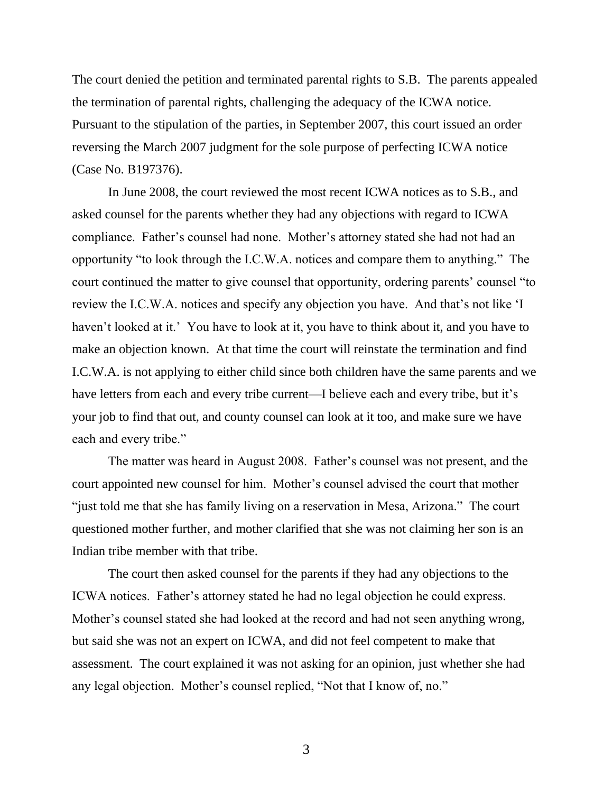The court denied the petition and terminated parental rights to S.B. The parents appealed the termination of parental rights, challenging the adequacy of the ICWA notice. Pursuant to the stipulation of the parties, in September 2007, this court issued an order reversing the March 2007 judgment for the sole purpose of perfecting ICWA notice (Case No. B197376).

In June 2008, the court reviewed the most recent ICWA notices as to S.B., and asked counsel for the parents whether they had any objections with regard to ICWA compliance. Father"s counsel had none. Mother"s attorney stated she had not had an opportunity "to look through the I.C.W.A. notices and compare them to anything." The court continued the matter to give counsel that opportunity, ordering parents' counsel "to review the I.C.W.A. notices and specify any objection you have. And that"s not like "I haven't looked at it." You have to look at it, you have to think about it, and you have to make an objection known. At that time the court will reinstate the termination and find I.C.W.A. is not applying to either child since both children have the same parents and we have letters from each and every tribe current—I believe each and every tribe, but it's your job to find that out, and county counsel can look at it too, and make sure we have each and every tribe."

The matter was heard in August 2008. Father's counsel was not present, and the court appointed new counsel for him. Mother"s counsel advised the court that mother "just told me that she has family living on a reservation in Mesa, Arizona." The court questioned mother further, and mother clarified that she was not claiming her son is an Indian tribe member with that tribe.

The court then asked counsel for the parents if they had any objections to the ICWA notices. Father"s attorney stated he had no legal objection he could express. Mother"s counsel stated she had looked at the record and had not seen anything wrong, but said she was not an expert on ICWA, and did not feel competent to make that assessment. The court explained it was not asking for an opinion, just whether she had any legal objection. Mother"s counsel replied, "Not that I know of, no."

3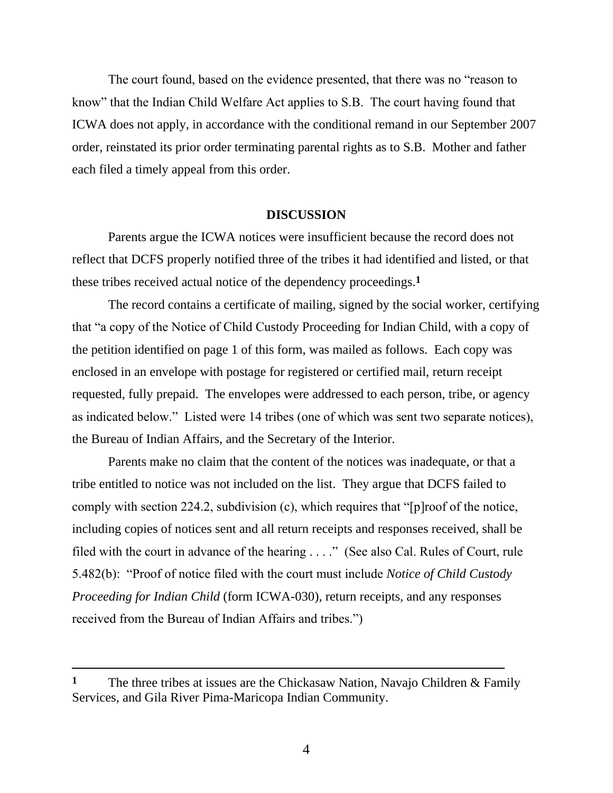The court found, based on the evidence presented, that there was no "reason to know" that the Indian Child Welfare Act applies to S.B. The court having found that ICWA does not apply, in accordance with the conditional remand in our September 2007 order, reinstated its prior order terminating parental rights as to S.B. Mother and father each filed a timely appeal from this order.

#### **DISCUSSION**

Parents argue the ICWA notices were insufficient because the record does not reflect that DCFS properly notified three of the tribes it had identified and listed, or that these tribes received actual notice of the dependency proceedings.**1**

The record contains a certificate of mailing, signed by the social worker, certifying that "a copy of the Notice of Child Custody Proceeding for Indian Child, with a copy of the petition identified on page 1 of this form, was mailed as follows. Each copy was enclosed in an envelope with postage for registered or certified mail, return receipt requested, fully prepaid. The envelopes were addressed to each person, tribe, or agency as indicated below." Listed were 14 tribes (one of which was sent two separate notices), the Bureau of Indian Affairs, and the Secretary of the Interior.

Parents make no claim that the content of the notices was inadequate, or that a tribe entitled to notice was not included on the list. They argue that DCFS failed to comply with section 224.2, subdivision (c), which requires that "[p]roof of the notice, including copies of notices sent and all return receipts and responses received, shall be filed with the court in advance of the hearing . . . ." (See also Cal. Rules of Court, rule 5.482(b): "Proof of notice filed with the court must include *Notice of Child Custody Proceeding for Indian Child* (form ICWA-030), return receipts, and any responses received from the Bureau of Indian Affairs and tribes.")

 $\overline{a}$ 

**<sup>1</sup>** The three tribes at issues are the Chickasaw Nation, Navajo Children & Family Services, and Gila River Pima-Maricopa Indian Community.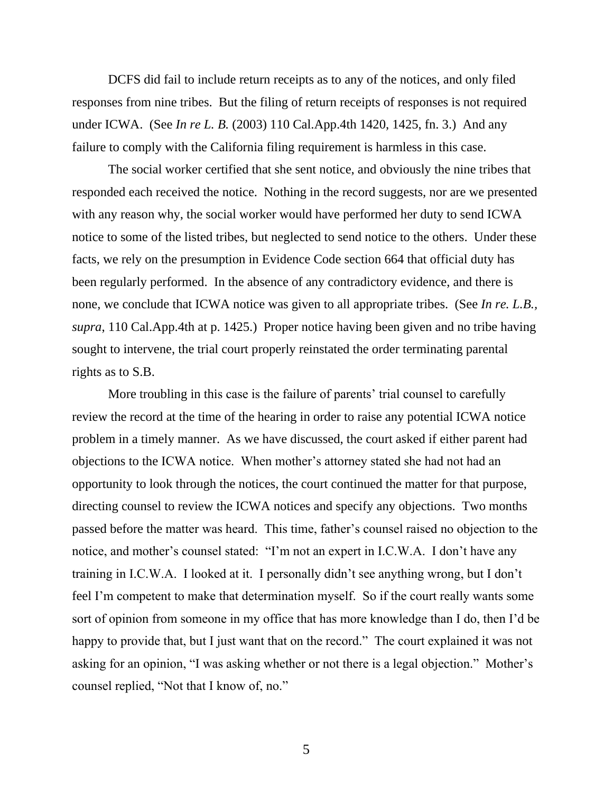DCFS did fail to include return receipts as to any of the notices, and only filed responses from nine tribes. But the filing of return receipts of responses is not required under ICWA. (See *In re L. B.* (2003) 110 Cal.App.4th 1420, 1425, fn. 3.) And any failure to comply with the California filing requirement is harmless in this case.

The social worker certified that she sent notice, and obviously the nine tribes that responded each received the notice. Nothing in the record suggests, nor are we presented with any reason why, the social worker would have performed her duty to send ICWA notice to some of the listed tribes, but neglected to send notice to the others. Under these facts, we rely on the presumption in Evidence Code section 664 that official duty has been regularly performed. In the absence of any contradictory evidence, and there is none, we conclude that ICWA notice was given to all appropriate tribes. (See *In re. L.B., supra*, 110 Cal.App.4th at p. 1425.) Proper notice having been given and no tribe having sought to intervene, the trial court properly reinstated the order terminating parental rights as to S.B.

More troubling in this case is the failure of parents' trial counsel to carefully review the record at the time of the hearing in order to raise any potential ICWA notice problem in a timely manner. As we have discussed, the court asked if either parent had objections to the ICWA notice. When mother"s attorney stated she had not had an opportunity to look through the notices, the court continued the matter for that purpose, directing counsel to review the ICWA notices and specify any objections. Two months passed before the matter was heard. This time, father"s counsel raised no objection to the notice, and mother's counsel stated: "I'm not an expert in I.C.W.A. I don't have any training in I.C.W.A. I looked at it. I personally didn"t see anything wrong, but I don"t feel I'm competent to make that determination myself. So if the court really wants some sort of opinion from someone in my office that has more knowledge than I do, then I"d be happy to provide that, but I just want that on the record." The court explained it was not asking for an opinion, "I was asking whether or not there is a legal objection." Mother's counsel replied, "Not that I know of, no."

5